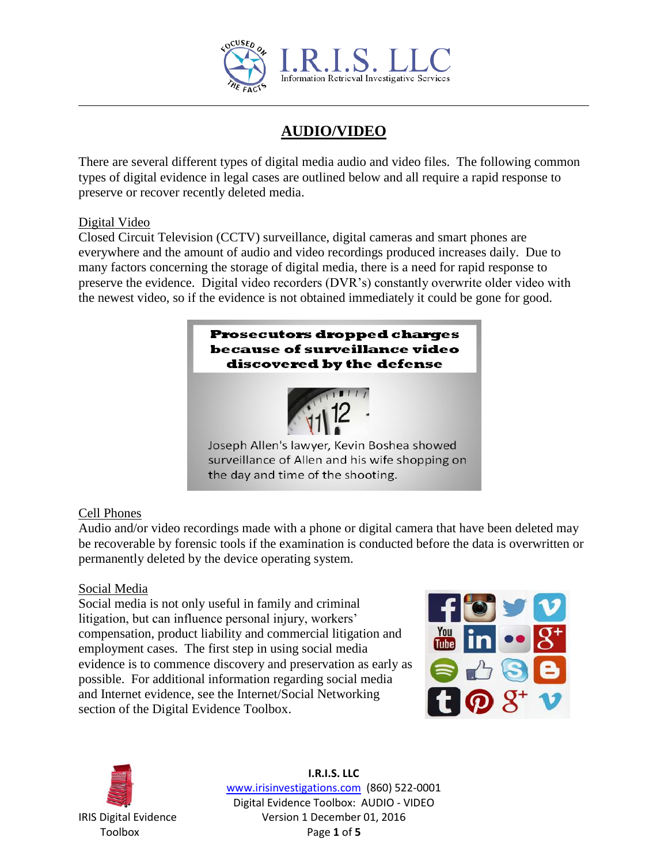

# **AUDIO/VIDEO**

There are several different types of digital media audio and video files. The following common types of digital evidence in legal cases are outlined below and all require a rapid response to preserve or recover recently deleted media.

#### Digital Video

Closed Circuit Television (CCTV) surveillance, digital cameras and smart phones are everywhere and the amount of audio and video recordings produced increases daily. Due to many factors concerning the storage of digital media, there is a need for rapid response to preserve the evidence. Digital video recorders (DVR's) constantly overwrite older video with the newest video, so if the evidence is not obtained immediately it could be gone for good.



## Cell Phones

Audio and/or video recordings made with a phone or digital camera that have been deleted may be recoverable by forensic tools if the examination is conducted before the data is overwritten or permanently deleted by the device operating system.

## Social Media

Social media is not only useful in family and criminal litigation, but can influence personal injury, workers' compensation, product liability and commercial litigation and employment cases. The first step in using social media evidence is to commence discovery and preservation as early as possible. For additional information regarding social media and Internet evidence, see the Internet/Social Networking section of the Digital Evidence Toolbox.





**I.R.I.S. LLC** www.irisinvestigations.com (860) 522-0001 Digital Evidence Toolbox: AUDIO - VIDEO IRIS Digital Evidence Version 1 December 01, 2016 Toolbox Page **1** of **5**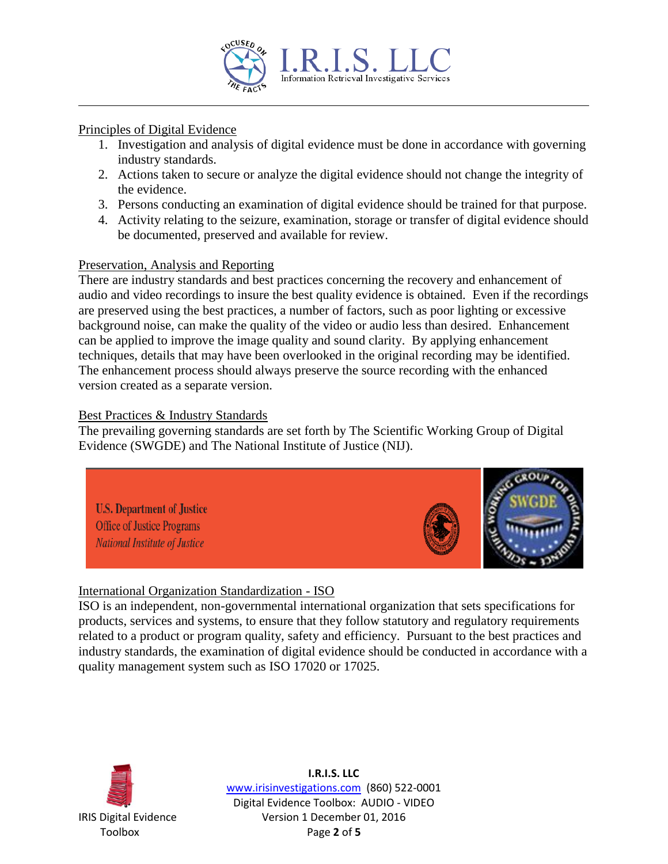

#### Principles of Digital Evidence

- 1. Investigation and analysis of digital evidence must be done in accordance with governing industry standards.
- 2. Actions taken to secure or analyze the digital evidence should not change the integrity of the evidence.
- 3. Persons conducting an examination of digital evidence should be trained for that purpose.
- 4. Activity relating to the seizure, examination, storage or transfer of digital evidence should be documented, preserved and available for review.

#### Preservation, Analysis and Reporting

There are industry standards and best practices concerning the recovery and enhancement of audio and video recordings to insure the best quality evidence is obtained. Even if the recordings are preserved using the best practices, a number of factors, such as poor lighting or excessive background noise, can make the quality of the video or audio less than desired. Enhancement can be applied to improve the image quality and sound clarity. By applying enhancement techniques, details that may have been overlooked in the original recording may be identified. The enhancement process should always preserve the source recording with the enhanced version created as a separate version.

#### Best Practices & Industry Standards

The prevailing governing standards are set forth by The Scientific Working Group of Digital Evidence (SWGDE) and The National Institute of Justice (NIJ).



## International Organization Standardization - ISO

ISO is an independent, non-governmental international organization that sets specifications for products, services and systems, to ensure that they follow statutory and regulatory requirements related to a product or program quality, safety and efficiency. Pursuant to the best practices and industry standards, the examination of digital evidence should be conducted in accordance with a quality management system such as ISO 17020 or 17025.



**I.R.I.S. LLC** www.irisinvestigations.com (860) 522-0001 Digital Evidence Toolbox: AUDIO - VIDEO IRIS Digital Evidence Version 1 December 01, 2016 Toolbox Page **2** of **5**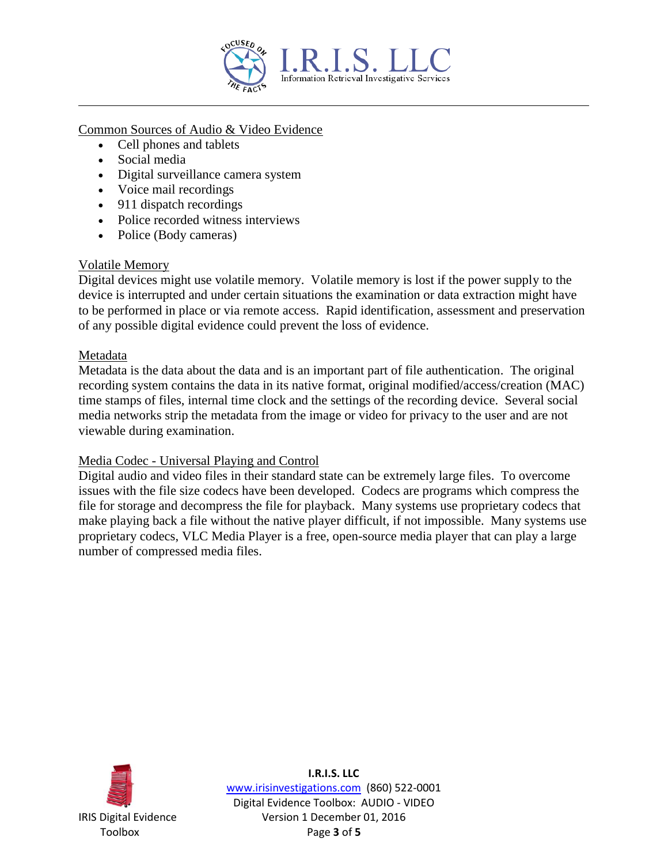

Common Sources of Audio & Video Evidence

- Cell phones and tablets
- Social media
- Digital surveillance camera system
- Voice mail recordings
- 911 dispatch recordings
- Police recorded witness interviews
- Police (Body cameras)

#### Volatile Memory

Digital devices might use volatile memory. Volatile memory is lost if the power supply to the device is interrupted and under certain situations the examination or data extraction might have to be performed in place or via remote access. Rapid identification, assessment and preservation of any possible digital evidence could prevent the loss of evidence.

#### Metadata

Metadata is the data about the data and is an important part of file authentication. The original recording system contains the data in its native format, original modified/access/creation (MAC) time stamps of files, internal time clock and the settings of the recording device. Several social media networks strip the metadata from the image or video for privacy to the user and are not viewable during examination.

#### Media Codec - Universal Playing and Control

Digital audio and video files in their standard state can be extremely large files. To overcome issues with the file size codecs have been developed. Codecs are programs which compress the file for storage and decompress the file for playback. Many systems use proprietary codecs that make playing back a file without the native player difficult, if not impossible. Many systems use proprietary codecs, VLC Media Player is a free, open-source media player that can play a large number of compressed media files.



**I.R.I.S. LLC** www.irisinvestigations.com (860) 522-0001 Digital Evidence Toolbox: AUDIO - VIDEO IRIS Digital Evidence Version 1 December 01, 2016 Toolbox Page **3** of **5**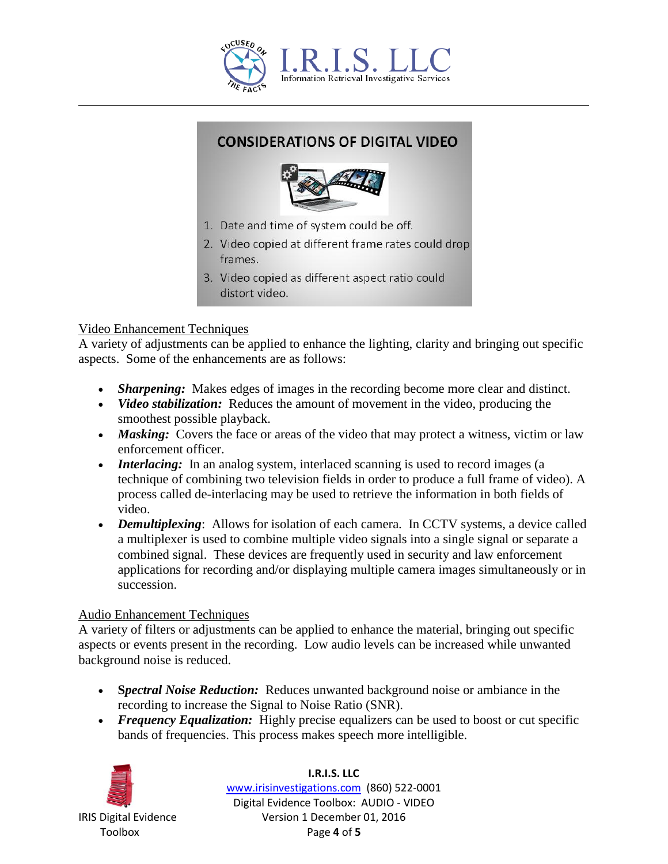

## **CONSIDERATIONS OF DIGITAL VIDEO**



- 1. Date and time of system could be off.
- 2. Video copied at different frame rates could drop frames.
- 3. Video copied as different aspect ratio could distort video.

## Video Enhancement Techniques

A variety of adjustments can be applied to enhance the lighting, clarity and bringing out specific aspects. Some of the enhancements are as follows:

- *Sharpening:* Makes edges of images in the recording become more clear and distinct.
- *Video stabilization:* Reduces the amount of movement in the video, producing the smoothest possible playback.
- *Masking:* Covers the face or areas of the video that may protect a witness, victim or law enforcement officer.
- *Interlacing:* In an analog system, interlaced scanning is used to record images (a technique of combining two television fields in order to produce a full frame of video). A process called de-interlacing may be used to retrieve the information in both fields of video.
- *Demultiplexing*: Allows for isolation of each camera. In CCTV systems, a device called a multiplexer is used to combine multiple video signals into a single signal or separate a combined signal. These devices are frequently used in security and law enforcement applications for recording and/or displaying multiple camera images simultaneously or in succession.

## Audio Enhancement Techniques

A variety of filters or adjustments can be applied to enhance the material, bringing out specific aspects or events present in the recording. Low audio levels can be increased while unwanted background noise is reduced.

- **S***pectral Noise Reduction:* Reduces unwanted background noise or ambiance in the recording to increase the Signal to Noise Ratio (SNR).
- *Frequency Equalization:* Highly precise equalizers can be used to boost or cut specific bands of frequencies. This process makes speech more intelligible.



**I.R.I.S. LLC** www.irisinvestigations.com (860) 522-0001 Digital Evidence Toolbox: AUDIO - VIDEO IRIS Digital Evidence Version 1 December 01, 2016 Toolbox Page **4** of **5**